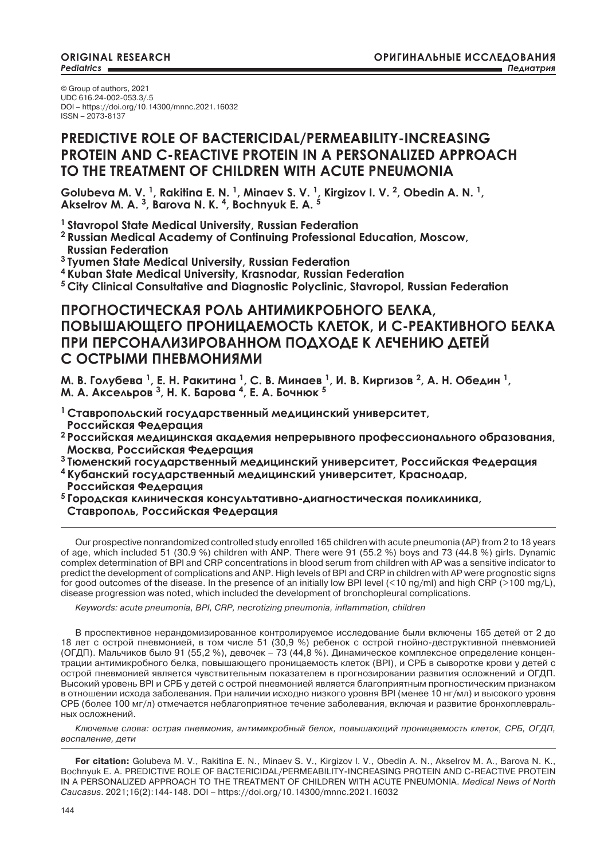© Group of authors, 2021 UDC 616.24-002-053.3/.5 DOI – https://doi.org/10.14300/mnnc.2021.16032 ISSN – 2073-8137

## **PREDICTIVE ROLE OF BACTERICIDAL/PERMEABILITY-INCREASING PROTEIN AND C-REACTIVE PROTEIN IN A PERSONALIZED APPROACH TO THE TREATMENT OF CHILDREN WITH ACUTE PNEUMONIA**

**Golubeva M. V. 1, Rakitina E. N. 1, Minaev S. V. 1, Kirgizov I. V. 2, Obedin A. N. 1, Akselrov M. A. 3, Barova N. K. 4, Bochnyuk E. A. 5**

**1 Stavropol State Medical University, Russian Federation**

**2 Russian Medical Academy of Continuing Professional Education, Moscow, Russian Federation**

**3 Tyumen State Medical University, Russian Federation**

**4 Kuban State Medical University, Krasnodar, Russian Federation**

**5 City Clinical Consultative and Diagnostic Polyclinic, Stavropol, Russian Federation**

# **ПРОГНОСТИЧЕСКАЯ РОЛЬ АНТИМИКРОБНОГО БЕЛКА, ПОВЫШАЮЩЕГО ПРОНИЦАЕМОСТЬ КЛЕТОК, И С-РЕАКТИВНОГО БЕЛКА ПРИ ПЕРСОНАЛИЗИРОВАННОМ ПОДХОДЕ К ЛЕЧЕНИЮ ДЕТЕЙ С ОСТРЫМИ ПНЕВМОНИЯМИ**

М. В. Голубева <sup>1</sup>, Е. Н. Ракитина <sup>1</sup>, С. В. Минаев <sup>1</sup>, И. В. Киргизов <sup>2</sup>, А. Н. Обедин <sup>1</sup>, **М. А. Аксельров <sup>3</sup>, Н. К. Барова <sup>4</sup>, Е. А. Бочнюк <sup>5</sup>**

**<sup>1</sup>Ставропольский государственный медицинский университет, Российская Федерация**

**<sup>2</sup>Российская медицинская академия непрерывного профессионального образования, Москва, Российская Федерация**

**<sup>3</sup>Тюменский государственный медицинский университет, Российская Федерация <sup>4</sup>Кубанский государственный медицинский университет, Краснодар,**

 **Российская Федерация**

**<sup>5</sup>Городская клиническая консультативно-диагностическая поликлиника, Ставрополь, Российская Федерация**

Our prospective nonrandomized controlled study enrolled 165 children with acute pneumonia (AP) from 2 to 18 years of age, which included 51 (30.9 %) children with ANP. There were 91 (55.2 %) boys and 73 (44.8 %) girls. Dynamic complex determination of BPI and CRP concentrations in blood serum from children with AP was a sensitive indicator to predict the development of complications and ANP. High levels of BPI and CRP in children with AP were prognostic signs for good outcomes of the disease. In the presence of an initially low BPI level  $($ <10 ng/ml) and high CRP (>100 mg/L), disease progression was noted, which included the development of bronchopleural complications.

*Keywords: acute pneumonia, BPI, CRP, necrotizing pneumonia, inflammation, children* 

В проспективное нерандомизированное контролируемое исследование были включены 165 детей от 2 до 18 лет с острой пневмонией, в том числе 51 (30,9 %) ребенок с острой гнойно-деструктивной пневмонией (ОГДП). Мальчиков было 91 (55,2 %), девочек – 73 (44,8 %). Динамическое комплексное определение концентрации антимикробного белка, повышающего проницаемость клеток (BPI), и СРБ в сыворотке крови у детей с острой пневмонией является чувствительным показателем в прогнозировании развития осложнений и ОГДП. Высокий уровень BPI и СРБ у детей с острой пневмонией является благоприятным прогностическим признаком в отношении исхода заболевания. При наличии исходно низкого уровня BPI (менее 10 нг/мл) и высокого уровня СРБ (более 100 мг/л) отмечается неблагоприятное течение заболевания, включая и развитие бронхоплевральных осложнений.

*Ключевые слова: острая пневмония, антимикробный белок, повышающий проницаемость клеток, CРБ, ОГДП, воспаление, дети*

**For citation:** Golubeva M. V., Rakitina E. N., Minaev S. V., Kirgizov I. V., Obedin A. N., Akselrov M. A., Barova N. K., Bochnyuk E. A. PREDICTIVE ROLE OF BACTERICIDAL/PERMEABILITY-INCREASING PROTEIN AND C-REACTIVE PROTEIN IN A PERSONALIZED APPROACH TO THE TREATMENT OF CHILDREN WITH ACUTE PNEUMONIA. *Medical News of North Caucasus*. 2021;16(2):144-148. DOI – https://doi.org/10.14300/mnnc.2021.16032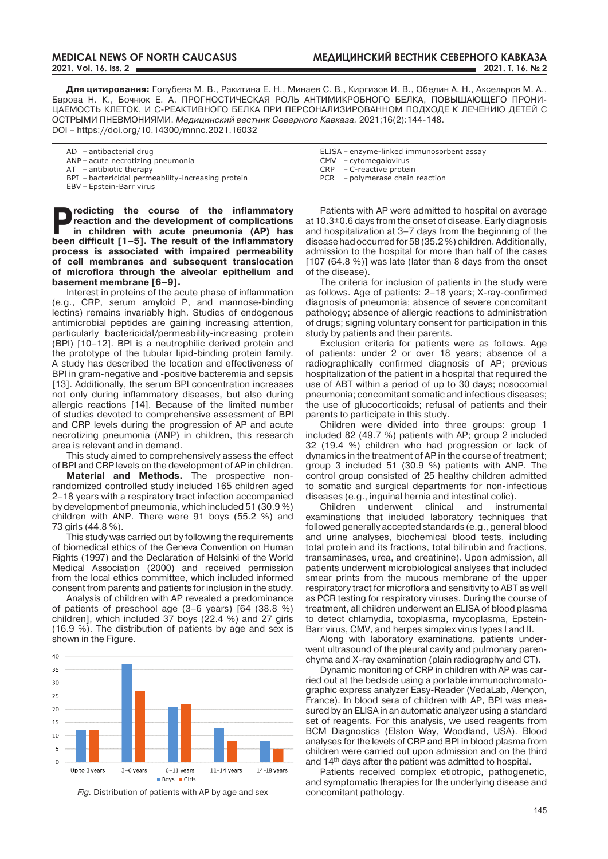**Для цитирования:** Голубева М. В., Ракитина Е. Н., Минаев С. В., Киргизов И. В., Обедин А. Н., Аксельров М. А., Барова Н. К., Бочнюк Е. А. ПРОГНОСТИЧЕСКАЯ РОЛЬ АНТИМИКРОБНОГО БЕЛКА, ПОВЫШАЮЩЕГО ПРОНИ-ЦАЕМОСТЬ КЛЕТОК, И С-РЕАКТИВНОГО БЕЛКА ПРИ ПЕРСОНАЛИЗИРОВАННОМ ПОДХОДЕ К ЛЕЧЕНИЮ ДЕТЕЙ С ОСТРЫМИ ПНЕВМОНИЯМИ. *Медицинский вестник Северного Кавказа.* 2021;16(2):144-148. DOI – https://doi.org/10.14300/mnnc.2021.16032

| $AD - antibacterial drug$                          | ELISA – enzyme-linked immunosorbent assay |
|----------------------------------------------------|-------------------------------------------|
| ANP – acute necrotizing pneumonia                  | CMV - cytomegalovirus                     |
| $AT - antibiotic therapy$                          | $CRP - C$ -reactive protein               |
| BPI - bactericidal permeability-increasing protein | PCR - polymerase chain reaction           |
| EBV - Epstein-Barr virus                           |                                           |

**P**redicting the course of the inflammatory reaction and the development of complications in children with acute pneumonia (AP) has **have** difficult  $\overline{11}$   $\overline{51}$  The result of the inflammatoru **reaction and the development of complications been difficult [1–5]. The result of the inflammatory process is associated with impaired permeability of cell membranes and subsequent translocation of microflora through the alveolar epithelium and basement membrane [6–9].**

Interest in proteins of the acute phase of inflammation (e.g., CRP, serum amyloid P, and mannose-binding lectins) remains invariably high. Studies of endogenous antimicrobial peptides are gaining increasing attention, particularly bactericidal/permeability-increasing protein (BPI) [10–12]. BPI is a neutrophilic derived protein and the prototype of the tubular lipid-binding protein family. A study has described the location and effectiveness of BPI in gram-negative and -positive bacteremia and sepsis [13]. Additionally, the serum BPI concentration increases not only during inflammatory diseases, but also during allergic reactions [14]. Because of the limited number of studies devoted to comprehensive assessment of BPI and CRP levels during the progression of AP and acute necrotizing pneumonia (ANP) in children, this research area is relevant and in demand.

This study aimed to comprehensively assess the effect of BPI and CRP levels on the development of AP in children.

**Material and Methods.** The prospective nonrandomized controlled study included 165 children aged 2–18 years with a respiratory tract infection accompanied by development of pneumonia, which included 51 (30.9 %) children with ANP. There were 91 boys (55.2 %) and 73 girls (44.8 %).

This study was carried out by following the requirements of biomedical ethics of the Geneva Convention on Human Rights (1997) and the Declaration of Helsinki of the World Medical Association (2000) and received permission from the local ethics committee, which included informed consent from parents and patients for inclusion in the study.

Analysis of children with AP revealed a predominance of patients of preschool age (3–6 years) [64 (38.8 %) children], which included  $37$  boys (22.4 %) and 27 girls (16.9 %). The distribution of patients by age and sex is shown in the Figure.



*fig.* Distribution of patients with AP by age and sex

Patients with AP were admitted to hospital on average at 10.3±0.6 days from the onset of disease. Early diagnosis and hospitalization at 3–7 days from the beginning of the disease had occurred for 58 (35.2 %) children. Additionally, admission to the hospital for more than half of the cases [107 (64.8 %)] was late (later than 8 days from the onset of the disease).

The criteria for inclusion of patients in the study were as follows. Age of patients: 2–18 years; X-ray-confirmed diagnosis of pneumonia; absence of severe concomitant pathology; absence of allergic reactions to administration of drugs; signing voluntary consent for participation in this study by patients and their parents.

Exclusion criteria for patients were as follows. Age of patients: under 2 or over 18 years; absence of a radiographically confirmed diagnosis of AP; previous hospitalization of the patient in a hospital that required the use of ABT within a period of up to 30 days; nosocomial pneumonia; concomitant somatic and infectious diseases; the use of glucocorticoids; refusal of patients and their parents to participate in this study.

Children were divided into three groups: group 1 included 82 (49.7 %) patients with AP; group 2 included 32 (19.4 %) children who had progression or lack of dynamics in the treatment of AP in the course of treatment; group 3 included 51 (30.9 %) patients with ANP. The control group consisted of 25 healthy children admitted to somatic and surgical departments for non-infectious diseases (e.g., inguinal hernia and intestinal colic).

Children underwent clinical and instrumental examinations that included laboratory techniques that followed generally accepted standards (e.g., general blood and urine analyses, biochemical blood tests, including total protein and its fractions, total bilirubin and fractions, transaminases, urea, and creatinine). Upon admission, all patients underwent microbiological analyses that included smear prints from the mucous membrane of the upper respiratory tract for microflora and sensitivity to ABT as well as PCR testing for respiratory viruses. During the course of treatment, all children underwent an ELISA of blood plasma to detect chlamydia, toxoplasma, mycoplasma, Epstein-Barr virus, CMV, and herpes simplex virus types I and II.

Along with laboratory examinations, patients underwent ultrasound of the pleural cavity and pulmonary parenchyma and X-ray examination (plain radiography and CT).

Dynamic monitoring of CRP in children with AP was carried out at the bedside using a portable immunochromatographic express analyzer Easy-Reader (VedaLab, Alençon, France). In blood sera of children with AP, BPI was measured by an ELISA in an automatic analyzer using a standard set of reagents. For this analysis, we used reagents from BCM Diagnostics (Elston Way, Woodland, USA). Blood analyses for the levels of CRP and BPI in blood plasma from children were carried out upon admission and on the third and 14th days after the patient was admitted to hospital.

Patients received complex etiotropic, pathogenetic, and symptomatic therapies for the underlying disease and concomitant pathology.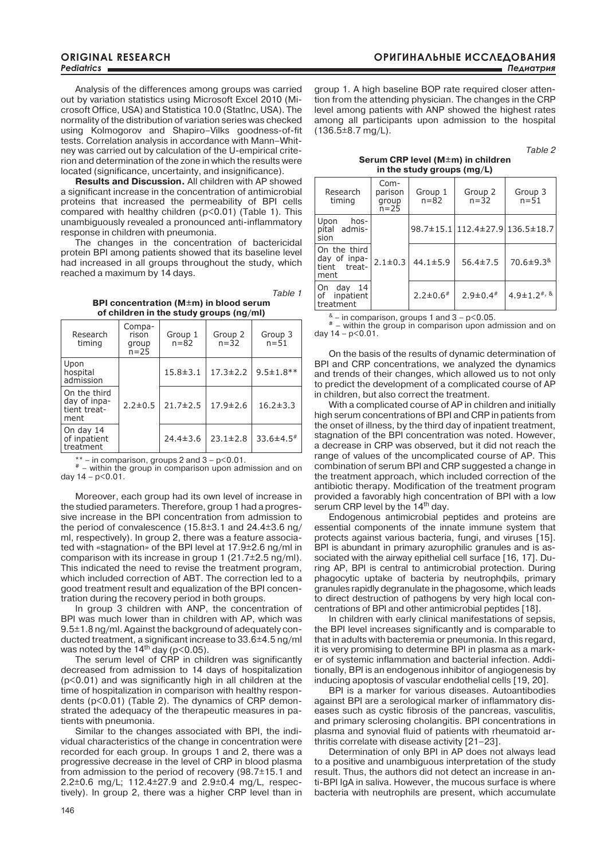Analysis of the differences among groups was carried out by variation statistics using Microsoft Excel 2010 (Microsoft Office, USA) and Statistica 10.0 (StatInc, USA). The normality of the distribution of variation series was checked using Kolmogorov and Shapiro–Vilks goodness-of-fit tests. Correlation analysis in accordance with Mann–Whitney was carried out by calculation of the U-empirical criterion and determination of the zone in which the results were located (significance, uncertainty, and insignificance).

**Results and Discussion.** All children with AP showed a significant increase in the concentration of antimicrobial proteins that increased the permeability of BPI cells compared with healthy children (p<0.01) (Table 1). This unambiguously revealed a pronounced anti-inflammatory response in children with pneumonia.

The changes in the concentration of bactericidal protein BPI among patients showed that its baseline level had increased in all groups throughout the study, which reached a maximum by 14 days.

*Table 1*

**BPI concentration (M±m) in blood serum of children in the study groups (ng/ml)**

| Research<br>timing                                   | Compa-<br>rison<br>group<br>$n = 25$ | Group 1<br>$n = 82$ | Group 2<br>$n = 32$ | Group 3<br>$n = 51$         |
|------------------------------------------------------|--------------------------------------|---------------------|---------------------|-----------------------------|
| Upon<br>hospital<br>admission                        |                                      | $15.8 \pm 3.1$      | $17.3 \pm 2.2$      | $9.5 \pm 1.8$ **            |
| On the third<br>day of inpa-<br>tient treat-<br>ment | $2.2 \pm 0.5$                        | $21.7 \pm 2.5$      | $17.9 \pm 2.6$      | $16.2 \pm 3.3$              |
| On day 14<br>of inpatient<br>treatment               |                                      | $24.4 \pm 3.6$      | $23.1 \pm 2.8$      | $33.6 \pm 4.5$ <sup>#</sup> |

\*\* – in comparison, groups 2 and  $3 - p < 0.01$ .<br># – within the group in comparison upon admission and on day 14 – p<0.01.

Moreover, each group had its own level of increase in the studied parameters. Therefore, group 1 had a progressive increase in the BPI concentration from admission to the period of convalescence (15.8±3.1 and 24.4±3.6 ng/ ml, respectively). In group 2, there was a feature associated with «stagnation» of the BPI level at 17.9±2.6 ng/ml in comparison with its increase in group 1 (21.7±2.5 ng/ml). This indicated the need to revise the treatment program, which included correction of ABT. The correction led to a good treatment result and equalization of the BPI concentration during the recovery period in both groups.

In group 3 children with ANP, the concentration of BPI was much lower than in children with AP, which was 9.5±1.8 ng/ml. Against the background of adequately conducted treatment, a significant increase to 33.6±4.5 ng/ml was noted by the  $14<sup>th</sup>$  day ( $p<0.05$ ).

The serum level of CRP in children was significantly decreased from admission to 14 days of hospitalization (p<0.01) and was significantly high in all children at the time of hospitalization in comparison with healthy respondents (p<0.01) (Table 2). The dynamics of CRP demonstrated the adequacy of the therapeutic measures in patients with pneumonia.

Similar to the changes associated with BPI, the individual characteristics of the change in concentration were recorded for each group. In groups 1 and 2, there was a progressive decrease in the level of CRP in blood plasma from admission to the period of recovery (98.7±15.1 and 2.2±0.6 mg/L; 112.4±27.9 and 2.9±0.4 mg/L, respectively). In group 2, there was a higher CRP level than in group 1. A high baseline BOP rate required closer attention from the attending physician. The changes in the CRP level among patients with ANP showed the highest rates among all participants upon admission to the hospital  $(136.5 \pm 8.7 \text{ mg/L}).$ 

*Table 2*

**Serum CRP level (M±m) in children in the study groups (mg/L)**

| Research<br>timing                                                | $Com-$<br>parison<br>group<br>$n = 25$ | Group 1<br>n=82 | Group 2<br>$n = 32$             | Group 3<br>$n = 51$               |
|-------------------------------------------------------------------|----------------------------------------|-----------------|---------------------------------|-----------------------------------|
| Upon<br>hos-<br>pital admis-<br>sion                              |                                        |                 | 98.7±15.1 112.4±27.9 136.5±18.7 |                                   |
| On the third<br>day of inpa- $ 2.1\pm0.3$<br>tient treat-<br>ment |                                        | $44.1 \pm 5.9$  | $56.4 \pm 7.5$                  | $70.6 \pm 9.3$ <sup>&amp;</sup>   |
| On day<br>14<br>of inpatient<br>treatment                         |                                        | $2.2 \pm 0.6$ # | $2.9 \pm 0.4$ #                 | 4.9 $\pm$ 1.2 <sup>#, &amp;</sup> |

 $*$  – in comparison, groups 1 and 3 – p<0.05.<br>  $*$  – within the group in comparison upon admission and on day  $14 - p < 0.01$ .

On the basis of the results of dynamic determination of BPI and CRP concentrations, we analyzed the dynamics and trends of their changes, which allowed us to not only to predict the development of a complicated course of AP in children, but also correct the treatment.

With a complicated course of AP in children and initially high serum concentrations of BPI and CRP in patients from the onset of illness, by the third day of inpatient treatment, stagnation of the BPI concentration was noted. However, a decrease in CRP was observed, but it did not reach the range of values of the uncomplicated course of AP. This combination of serum BPI and CRP suggested a change in the treatment approach, which included correction of the antibiotic therapy. Modification of the treatment program provided a favorably high concentration of BPI with a low serum CRP level by the 14<sup>th</sup> day.

Endogenous antimicrobial peptides and proteins are essential components of the innate immune system that protects against various bacteria, fungi, and viruses [15]. BPI is abundant in primary azurophilic granules and is associated with the airway epithelial cell surface [16, 17]. During AP, BPI is central to antimicrobial protection. During phagocytic uptake of bacteria by neutrophфils, primary granules rapidly degranulate in the phagosome, which leads to direct destruction of pathogens by very high local concentrations of BPI and other antimicrobial peptides [18].

In children with early clinical manifestations of sepsis, the BPI level increases significantly and is comparable to that in adults with bacteremia or pneumonia. In this regard, it is very promising to determine BPI in plasma as a marker of systemic inflammation and bacterial infection. Additionally, BPI is an endogenous inhibitor of angiogenesis by inducing apoptosis of vascular endothelial cells [19, 20].

BPI is a marker for various diseases. Autoantibodies against BPI are a serological marker of inflammatory diseases such as cystic fibrosis of the pancreas, vasculitis, and primary sclerosing cholangitis. BPI concentrations in plasma and synovial fluid of patients with rheumatoid arthritis correlate with disease activity [21–23].

Determination of only BPI in AP does not always lead to a positive and unambiguous interpretation of the study result. Thus, the authors did not detect an increase in anti-BPI IgA in saliva. However, the mucous surface is where bacteria with neutrophils are present, which accumulate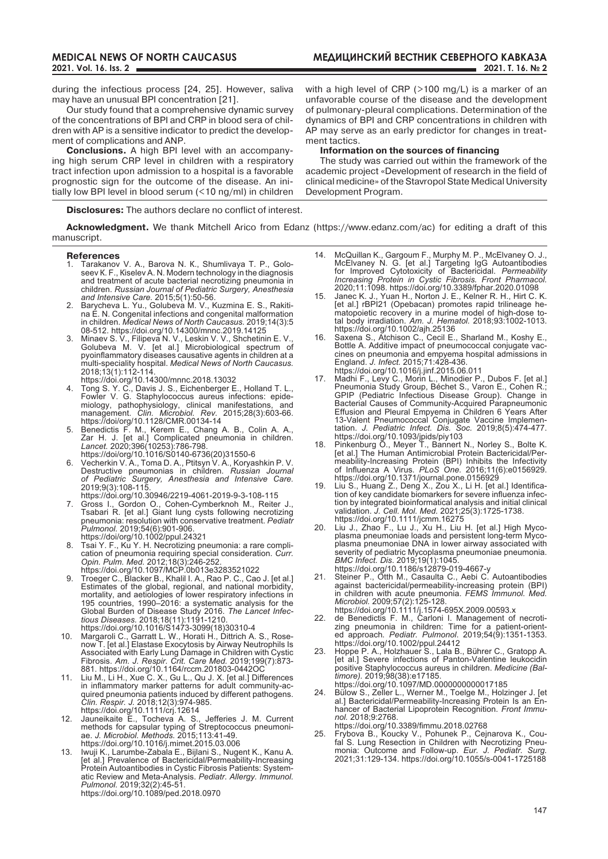during the infectious process [24, 25]. However, saliva may have an unusual BPI concentration [21].

Our study found that a comprehensive dynamic survey of the concentrations of BPI and CRP in blood sera of children with AP is a sensitive indicator to predict the development of complications and ANP.

**Conclusions.** A high BPI level with an accompanying high serum CRP level in children with a respiratory tract infection upon admission to a hospital is a favorable prognostic sign for the outcome of the disease. An initially low BPI level in blood serum (<10 ng/ml) in children with a high level of CRP (>100 mg/L) is a marker of an unfavorable course of the disease and the development of pulmonary-pleural complications. Determination of the dynamics of BPI and CRP concentrations in children with AP may serve as an early predictor for changes in treatment tactics.

### **Information on the sources of financing**

The study was carried out within the framework of the academic project «Development of research in the field of clinical medicine» of the Stavropol State Medical University Development Program.

**Disclosures:** The authors declare no conflict of interest.

**Acknowledgment.** We thank Mitchell Arico from Edanz (https://www.edanz.com/ac) for editing a draft of this manuscript.

#### **References**

- 1. Tarakanov V. А., Barova N. К., Shumlivaya Т. P., Goloseev К. F., Кiselev А. N. Modern technology in the diagnosis and treatment of acute bacterial necrotizing pneumonia in children. *Russian Journal of Pediatric Surgery, Anesthesia and Intensive Care.* 2015;5(1):50-56.
- 2. Barycheva L. Yu., Golubeva M. V., Kuzmina E. S., Rakitina E. N. Congenital infections and congenital malformation in children. *Medical News of North Caucasus.* 2019;14(3):5 08-512. https://doi.org/10.14300/mnnc.2019.14125
- 3. Minaev S. V., Filipeva N. V., Leskin V. V., Shchetinin E. V., Golubeva M. V. [et al.] Microbiological spectrum of pyoinflammatory diseases causative agents in children at a multi-speciality hospital. *Medical News of North Caucasus.*  2018;13(1):112-114.
- https://doi.org/10.14300/mnnc.2018.13032 4. Tong S. Y. C., Davis J. S., Eichenberger E., Holland T. L.,
- Fowler V. G. Staphylococcus aureus infections: epidemiology, pathophysiology, clinical manifestations, and management. *Clin. Microbiol. Rev.* 2015;28(3):603-66. https://doi/org/10.1128/CMR.00134-14
- 5. Benedictis F. M., Kerem E., Chang A. B., Colin A. A., Zar H. J. [et al.] Complicated pneumonia in children. *Lancet.* 2020;396(10253):786-798. https://doi/org/10.1016/S0140-6736(20)31550-6
- 6. Vecherkin V. A., Toma D. A., Ptitsyn V. A., Koryashkin P. V. Destructive pneumonias in children. *Russian Journal of Pediatric Surgery, Anesthesia and Intensive Care.*  2019;9(3):108-115. https://doi.org/10.30946/2219-4061-2019-9-3-108-115
- 7. Gross I., Gordon O., Cohen-Cymberknoh M., Reiter J., Tsabari R. [et al.] Giant lung cysts following necrotizing pneumonia: resolution with conservative treatment. *Pediatr Pulmonol.* 2019;54(6):901-906. https://doi/org/10.1002/ppul.24321
- 8. Tsai Y. F., Ku Y. H. Necrotizing pneumonia: a rare complication of pneumonia requiring special consideration. *Curr. Opin. Pulm. Med.* 2012;18(3):246-252.
- https://doi.org/10.1097/MCP.0b013e3283521022 9. Troeger C., Blacker B., Khalil I. A., Rao P. C., Cao J. [et al.] Estimates of the global, regional, and national morbidity, mortality, and aetiologies of lower respiratory infections in 195 countries, 1990–2016: a systematic analysis for the Global Burden of Disease Study 2016. *The Lancet Infectious Diseases.* 2018;18(11):1191-1210.
- https://doi.org/10.1016/S1473-3099(18)30310-4 10. Margaroli C., Garratt L. W., Horati H., Dittrich A. S., Rosenow T. [et al.] Elastase Exocytosis by Airway Neutrophils Is Associated with Early Lung Damage in Children with Cystic Fibrosis. *Am. J. Respir. Crit. Care Med.* 2019;199(7):873- 881. https://doi.org/10.1164/rccm.201803-0442OC
- 11. Liu M., Li H., Xue C. X., Gu L., Qu J. X. [et al.] Differences in inflammatory marker patterns for adult community-acquired pneumonia patients induced by different pathogens. *Clin. Respir. J.* 2018;12(3):974-985. https://doi.org/10.1111/crj.12614
- 12. Jauneikaite E., Tocheva A. S., Jefferies J. M. Current methods for capsular typing of Streptococcus pneumoniae. *J. Microbiol. Methods.* 2015;113:41-49. https://doi.org/10.1016/j.mimet.2015.03.006
- 13. Iwuji K., Larumbe-Zabala E., Bijlani S., Nugent K., Kanu A. [et al.] Prevalence of Bactericidal/Permeability-Increasing Protein Autoantibodies in Cystic Fibrosis Patients: Systematic Review and Meta-Analysis. *Pediatr. Allergy. Immunol. Pulmonol.* 2019;32(2):45-51. https://doi.org/10.1089/ped.2018.0970
- 14. McQuillan K., Gargoum F., Murphy M. P., McElvaney O. J., McElvaney N. G. [et al.] Targeting IgG Autoantibodies for Improved Cytotoxicity of Bactericidal. *Permeability Increasing Protein in Cystic Fibrosis. Front Pharmacol.* 2020;11:1098. https://doi.org/10.3389/fphar.2020.01098
- 15. Janec K. J., Yuan H., Norton J. E., Kelner R. H., Hirt C. K. [et al.] rBPI21 (Opebacan) promotes rapid trilineage hematopoietic recovery in a murine model of high-dose total body irradiation. *Am. J. Hematol.* 2018;93:1002-1013. https://doi.org/10.1002/ajh.25136
- 16. Saxena S., Atchison C., Cecil E., Sharland M., Koshy E., Bottle A. Additive impact of pneumococcal conjugate vaccines on pneumonia and empyema hospital admissions in England. *J. Infect.* 2015;71:428-436. https://doi.org/10.1016/j.jinf.2015.06.011
- 17. Madhi F., Levy C., Morin L., Minodier P., Dubos F. [et al.] Pneumonia Study Group, Béchet S., Varon E., Cohen R.; GPIP (Pediatric Infectious Disease Group). Change in Bacterial Causes of Community-Acquired Parapneumonic Effusion and Pleural Empyema in Children 6 Years After 13-Valent Pneumococcal Conjugate Vaccine Implementation. *J. Pediatric Infect. Dis. Soc.* 2019;8(5):474-477. https://doi.org/10.1093/jpids/piy103
- 18. Pinkenburg O., Meyer T., Bannert N., Norley S., Bolte K. [et al.] The Human Antimicrobial Protein Bactericidal/Permeability-Increasing Protein (BPI) Inhibits the Infectivity of Influenza A Virus. *PLoS One.* 2016;11(6):e0156929. https://doi.org/10.1371/journal.pone.0156929
- 19. Liu S., Huang Z., Deng X., Zou X., Li H. [et al.] Identification of key candidate biomarkers for severe influenza infection by integrated bioinformatical analysis and initial clinical validation. *J. Cell. Mol. Med.* 2021;25(3):1725-1738. https://doi.org/10.1111/jcmm.16275
- 20. Liu J., Zhao F., Lu J., Xu H., Liu H. [et al.] High Mycoplasma pneumoniae loads and persistent long-term Mycoplasma pneumoniae DNA in lower airway associated with severity of pediatric Mycoplasma pneumoniae pneumonia. *BMC Infect. Dis*. 2019;19(1):1045. https://doi.org/10.1186/s12879-019-4667-y
- 21. Steiner P., Otth M., Casaulta C., Aebi C. Autoantibodies against bactericidal/permeability-increasing protein (BPI) in children with acute pneumonia. *FEMS Immunol. Med. Microbiol.* 2009;57(2):125-128.
- https://doi.org/10.1111/j.1574-695X.2009.00593.x 22. de Benedictis F. M., Carloni I. Management of necrotizing pneumonia in children: Time for a patient-oriented approach*. Pediatr. Pulmonol*. 2019;54(9):1351-1353. https://doi.org/10.1002/ppul.24412
- 23. Hoppe P. A., Holzhauer S., Lala B., Bührer C., Gratopp A. [et al.] Severe infections of Panton-Valentine leukocidin positive Staphylococcus aureus in children. *Medicine (Baltimore).* 2019;98(38):e17185.
- https://doi.org/10.1097/MD.0000000000017185 24. Bülow S., Zeller L., Werner M., Toelge M., Holzinger J. [et al.] Bactericidal/Permeability-Increasing Protein Is an Enhancer of Bacterial Lipoprotein Recognition. *Front Immunol.* 2018;9:2768. https://doi.org/10.3389/fimmu.2018.02768
- 25. Frybova B., Koucky V., Pohunek P., Cejnarova K., Coufal S. Lung Resection in Children with Necrotizing Pneumonia: Outcome and Follow-up. *Eur. J. Pediatr. Surg.*  2021;31:129-134. https://doi.org/10.1055/s-0041-1725188